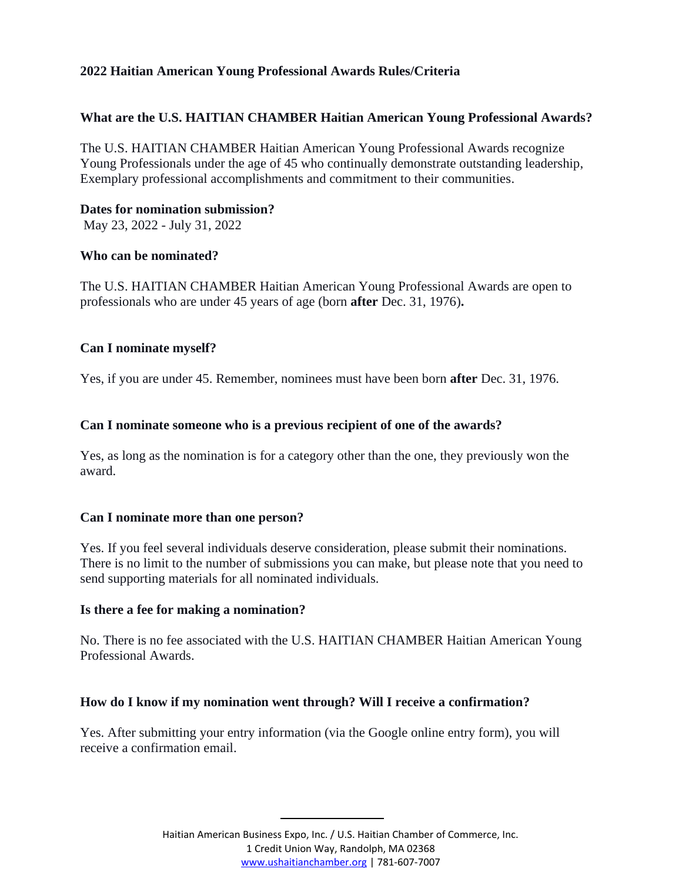## **2022 Haitian American Young Professional Awards Rules/Criteria**

## **What are the U.S. HAITIAN CHAMBER Haitian American Young Professional Awards?**

The U.S. HAITIAN CHAMBER Haitian American Young Professional Awards recognize Young Professionals under the age of 45 who continually demonstrate outstanding leadership, Exemplary professional accomplishments and commitment to their communities.

### **Dates for nomination submission?**

May 23, 2022 - July 31, 2022

#### **Who can be nominated?**

The U.S. HAITIAN CHAMBER Haitian American Young Professional Awards are open to professionals who are under 45 years of age (born **after** Dec. 31, 1976)**.**

### **Can I nominate myself?**

Yes, if you are under 45. Remember, nominees must have been born **after** Dec. 31, 1976.

### **Can I nominate someone who is a previous recipient of one of the awards?**

Yes, as long as the nomination is for a category other than the one, they previously won the award.

### **Can I nominate more than one person?**

Yes. If you feel several individuals deserve consideration, please submit their nominations. There is no limit to the number of submissions you can make, but please note that you need to send supporting materials for all nominated individuals.

### **Is there a fee for making a nomination?**

No. There is no fee associated with the U.S. HAITIAN CHAMBER Haitian American Young Professional Awards.

### **How do I know if my nomination went through? Will I receive a confirmation?**

Yes. After submitting your entry information (via the Google online entry form), you will receive a confirmation email.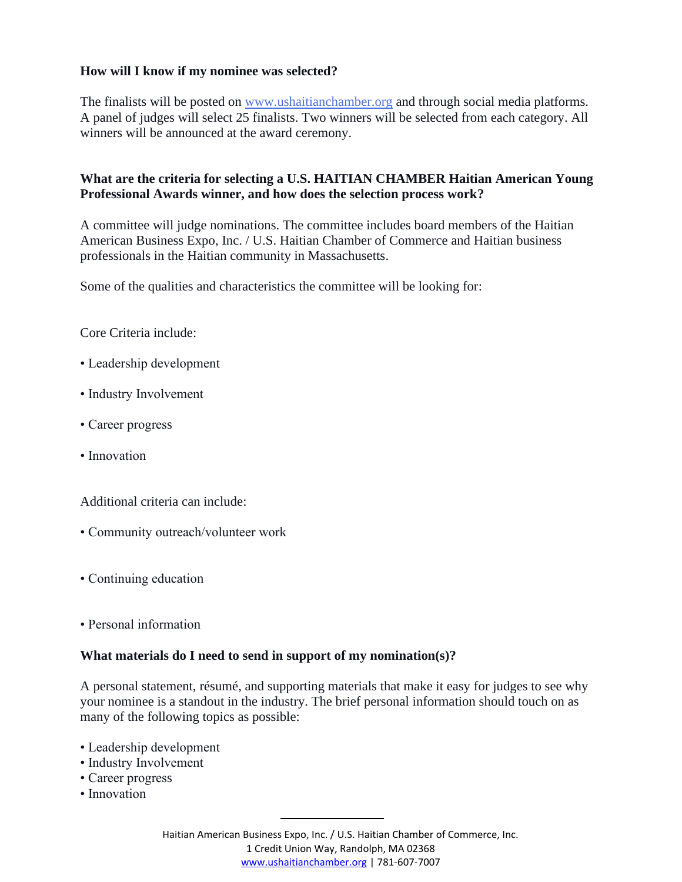## **How will I know if my nominee was selected?**

The finalists will be posted on [www.ushaitianchamber.org](http://www.ushaitianchamber.org/) and through social media platforms. A panel of judges will select 25 finalists. Two winners will be selected from each category. All winners will be announced at the award ceremony.

## **What are the criteria for selecting a U.S. HAITIAN CHAMBER Haitian American Young Professional Awards winner, and how does the selection process work?**

A committee will judge nominations. The committee includes board members of the Haitian American Business Expo, Inc. / U.S. Haitian Chamber of Commerce and Haitian business professionals in the Haitian community in Massachusetts.

Some of the qualities and characteristics the committee will be looking for:

Core Criteria include:

- Leadership development
- Industry Involvement
- Career progress
- Innovation

Additional criteria can include:

- Community outreach/volunteer work
- Continuing education
- Personal information

### **What materials do I need to send in support of my nomination(s)?**

A personal statement, résumé, and supporting materials that make it easy for judges to see why your nominee is a standout in the industry. The brief personal information should touch on as many of the following topics as possible:

- Leadership development
- Industry Involvement
- Career progress
- Innovation